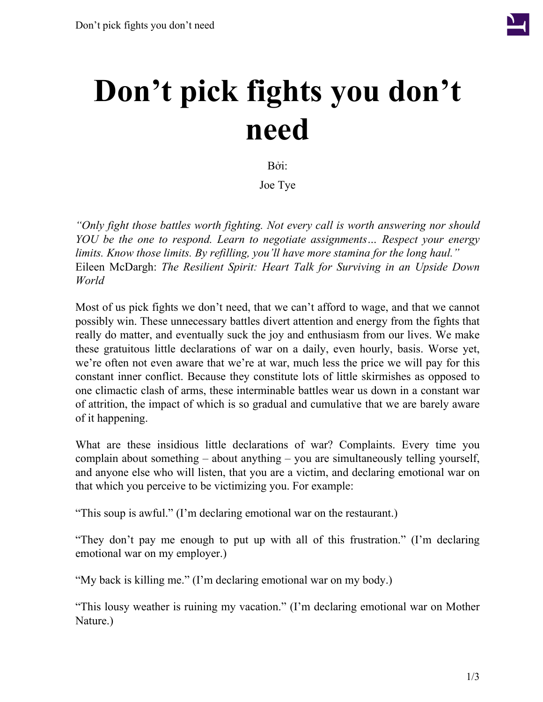

## **Don't pick fights you don't need**

Bởi:

Joe Tye

*"Only fight those battles worth fighting. Not every call is worth answering nor should YOU be the one to respond. Learn to negotiate assignments… Respect your energy limits. Know those limits. By refilling, you'll have more stamina for the long haul."* Eileen McDargh: *The Resilient Spirit: Heart Talk for Surviving in an Upside Down World*

Most of us pick fights we don't need, that we can't afford to wage, and that we cannot possibly win. These unnecessary battles divert attention and energy from the fights that really do matter, and eventually suck the joy and enthusiasm from our lives. We make these gratuitous little declarations of war on a daily, even hourly, basis. Worse yet, we're often not even aware that we're at war, much less the price we will pay for this constant inner conflict. Because they constitute lots of little skirmishes as opposed to one climactic clash of arms, these interminable battles wear us down in a constant war of attrition, the impact of which is so gradual and cumulative that we are barely aware of it happening.

What are these insidious little declarations of war? Complaints. Every time you complain about something – about anything – you are simultaneously telling yourself, and anyone else who will listen, that you are a victim, and declaring emotional war on that which you perceive to be victimizing you. For example:

"This soup is awful." (I'm declaring emotional war on the restaurant.)

"They don't pay me enough to put up with all of this frustration." (I'm declaring emotional war on my employer.)

"My back is killing me." (I'm declaring emotional war on my body.)

"This lousy weather is ruining my vacation." (I'm declaring emotional war on Mother Nature.)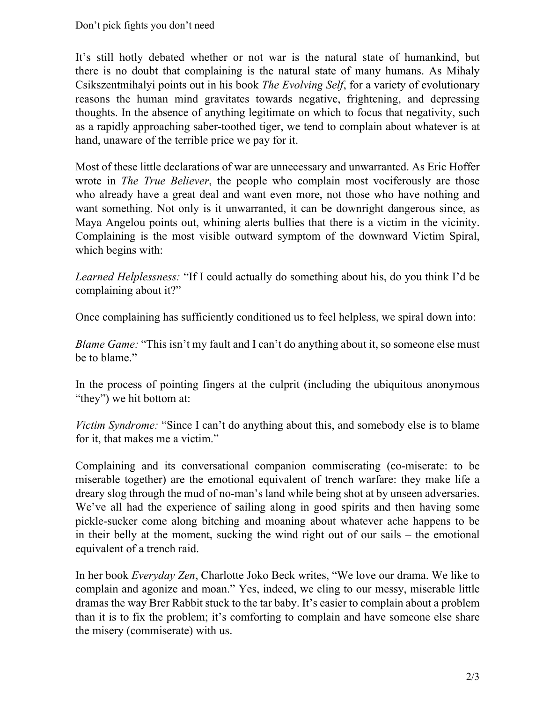It's still hotly debated whether or not war is the natural state of humankind, but there is no doubt that complaining is the natural state of many humans. As Mihaly Csikszentmihalyi points out in his book *The Evolving Self*, for a variety of evolutionary reasons the human mind gravitates towards negative, frightening, and depressing thoughts. In the absence of anything legitimate on which to focus that negativity, such as a rapidly approaching saber-toothed tiger, we tend to complain about whatever is at hand, unaware of the terrible price we pay for it.

Most of these little declarations of war are unnecessary and unwarranted. As Eric Hoffer wrote in *The True Believer*, the people who complain most vociferously are those who already have a great deal and want even more, not those who have nothing and want something. Not only is it unwarranted, it can be downright dangerous since, as Maya Angelou points out, whining alerts bullies that there is a victim in the vicinity. Complaining is the most visible outward symptom of the downward Victim Spiral, which begins with:

*Learned Helplessness:* "If I could actually do something about his, do you think I'd be complaining about it?"

Once complaining has sufficiently conditioned us to feel helpless, we spiral down into:

*Blame Game:* "This isn't my fault and I can't do anything about it, so someone else must be to blame."

In the process of pointing fingers at the culprit (including the ubiquitous anonymous "they") we hit bottom at:

*Victim Syndrome:* "Since I can't do anything about this, and somebody else is to blame for it, that makes me a victim."

Complaining and its conversational companion commiserating (co-miserate: to be miserable together) are the emotional equivalent of trench warfare: they make life a dreary slog through the mud of no-man's land while being shot at by unseen adversaries. We've all had the experience of sailing along in good spirits and then having some pickle-sucker come along bitching and moaning about whatever ache happens to be in their belly at the moment, sucking the wind right out of our sails – the emotional equivalent of a trench raid.

In her book *Everyday Zen*, Charlotte Joko Beck writes, "We love our drama. We like to complain and agonize and moan." Yes, indeed, we cling to our messy, miserable little dramas the way Brer Rabbit stuck to the tar baby. It's easier to complain about a problem than it is to fix the problem; it's comforting to complain and have someone else share the misery (commiserate) with us.